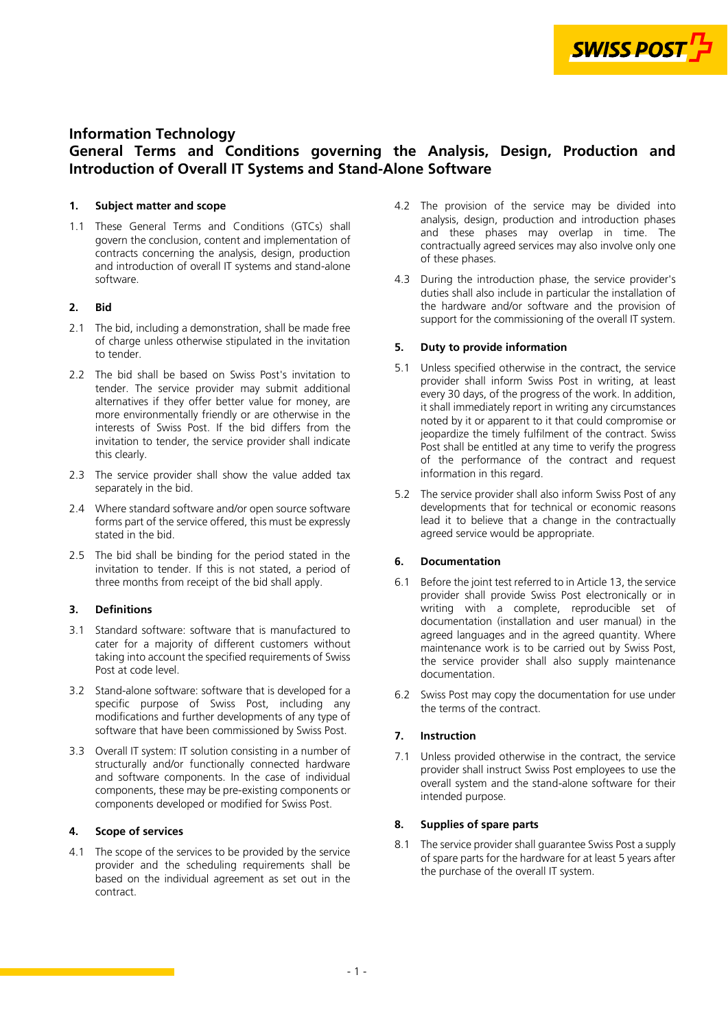

# **Information Technology**

# **General Terms and Conditions governing the Analysis, Design, Production and Introduction of Overall IT Systems and Stand-Alone Software**

# **1. Subject matter and scope**

1.1 These General Terms and Conditions (GTCs) shall govern the conclusion, content and implementation of contracts concerning the analysis, design, production and introduction of overall IT systems and stand-alone software.

## **2. Bid**

- 2.1 The bid, including a demonstration, shall be made free of charge unless otherwise stipulated in the invitation to tender.
- 2.2 The bid shall be based on Swiss Post's invitation to tender. The service provider may submit additional alternatives if they offer better value for money, are more environmentally friendly or are otherwise in the interests of Swiss Post. If the bid differs from the invitation to tender, the service provider shall indicate this clearly.
- 2.3 The service provider shall show the value added tax separately in the bid.
- 2.4 Where standard software and/or open source software forms part of the service offered, this must be expressly stated in the bid.
- 2.5 The bid shall be binding for the period stated in the invitation to tender. If this is not stated, a period of three months from receipt of the bid shall apply.

# **3. Definitions**

- 3.1 Standard software: software that is manufactured to cater for a majority of different customers without taking into account the specified requirements of Swiss Post at code level.
- 3.2 Stand-alone software: software that is developed for a specific purpose of Swiss Post, including any modifications and further developments of any type of software that have been commissioned by Swiss Post.
- 3.3 Overall IT system: IT solution consisting in a number of structurally and/or functionally connected hardware and software components. In the case of individual components, these may be pre-existing components or components developed or modified for Swiss Post.

## **4. Scope of services**

4.1 The scope of the services to be provided by the service provider and the scheduling requirements shall be based on the individual agreement as set out in the contract.

- 4.2 The provision of the service may be divided into analysis, design, production and introduction phases and these phases may overlap in time. The contractually agreed services may also involve only one of these phases.
- 4.3 During the introduction phase, the service provider's duties shall also include in particular the installation of the hardware and/or software and the provision of support for the commissioning of the overall IT system.

## **5. Duty to provide information**

- 5.1 Unless specified otherwise in the contract, the service provider shall inform Swiss Post in writing, at least every 30 days, of the progress of the work. In addition, it shall immediately report in writing any circumstances noted by it or apparent to it that could compromise or jeopardize the timely fulfilment of the contract. Swiss Post shall be entitled at any time to verify the progress of the performance of the contract and request information in this regard.
- 5.2 The service provider shall also inform Swiss Post of any developments that for technical or economic reasons lead it to believe that a change in the contractually agreed service would be appropriate.

# **6. Documentation**

- 6.1 Before the joint test referred to in Article [13,](#page-1-0) the service provider shall provide Swiss Post electronically or in writing with a complete, reproducible set of documentation (installation and user manual) in the agreed languages and in the agreed quantity. Where maintenance work is to be carried out by Swiss Post, the service provider shall also supply maintenance documentation.
- 6.2 Swiss Post may copy the documentation for use under the terms of the contract.

# **7. Instruction**

7.1 Unless provided otherwise in the contract, the service provider shall instruct Swiss Post employees to use the overall system and the stand-alone software for their intended purpose.

# **8. Supplies of spare parts**

8.1 The service provider shall guarantee Swiss Post a supply of spare parts for the hardware for at least 5 years after the purchase of the overall IT system.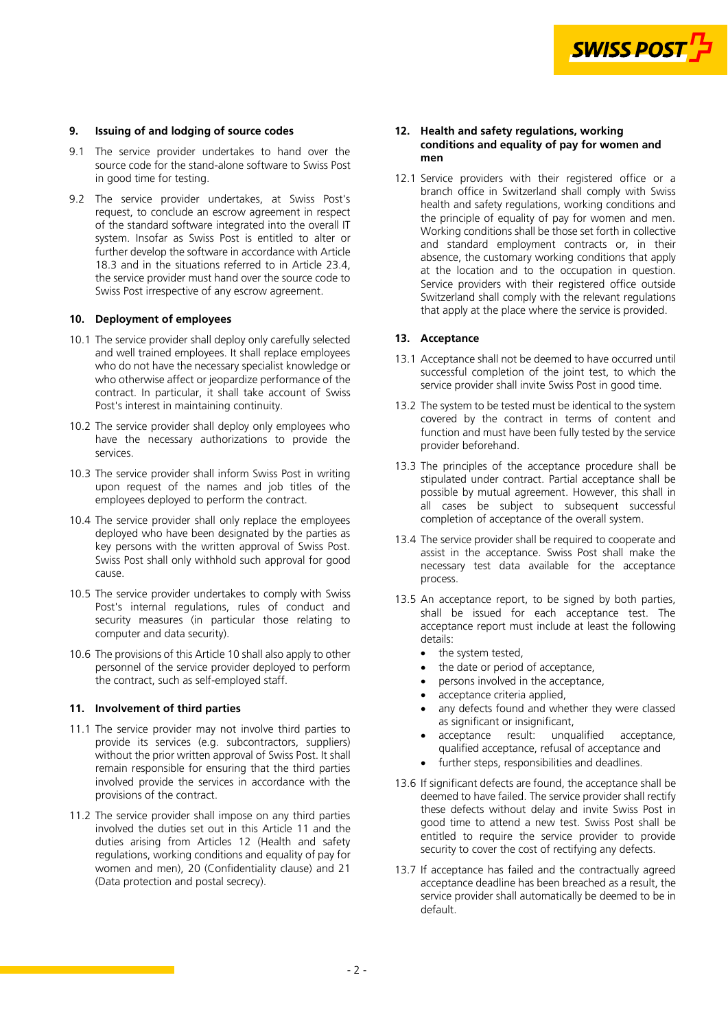

## <span id="page-1-0"></span>**9. Issuing of and lodging of source codes**

- 9.1 The service provider undertakes to hand over the source code for the stand-alone software to Swiss Post in good time for testing.
- 9.2 The service provider undertakes, at Swiss Post's request, to conclude an escrow agreement in respect of the standard software integrated into the overall IT system. Insofar as Swiss Post is entitled to alter or further develop the software in accordance with Article [18.3](#page-2-0) and in the situations referred to in Article [23.4](#page-4-0), the service provider must hand over the source code to Swiss Post irrespective of any escrow agreement.

## **10. Deployment of employees**

- 10.1 The service provider shall deploy only carefully selected and well trained employees. It shall replace employees who do not have the necessary specialist knowledge or who otherwise affect or jeopardize performance of the contract. In particular, it shall take account of Swiss Post's interest in maintaining continuity.
- 10.2 The service provider shall deploy only employees who have the necessary authorizations to provide the services.
- 10.3 The service provider shall inform Swiss Post in writing upon request of the names and job titles of the employees deployed to perform the contract.
- 10.4 The service provider shall only replace the employees deployed who have been designated by the parties as key persons with the written approval of Swiss Post. Swiss Post shall only withhold such approval for good cause.
- 10.5 The service provider undertakes to comply with Swiss Post's internal regulations, rules of conduct and security measures (in particular those relating to computer and data security).
- 10.6 The provisions of this Article 10 shall also apply to other personnel of the service provider deployed to perform the contract, such as self-employed staff.

## **11. Involvement of third parties**

- 11.1 The service provider may not involve third parties to provide its services (e.g. subcontractors, suppliers) without the prior written approval of Swiss Post. It shall remain responsible for ensuring that the third parties involved provide the services in accordance with the provisions of the contract.
- 11.2 The service provider shall impose on any third parties involved the duties set out in this Article 11 and the duties arising from Articles 12 (Health and safety regulations, working conditions and equality of pay for [women and men\), 20 \(Confidentiality clause\) and 21](#page-3-0) (Data protection and postal secrecy).

## **12. Health and safety regulations, working conditions and equality of pay for women and men**

12.1 Service providers with their registered office or a branch office in Switzerland shall comply with Swiss health and safety regulations, working conditions and the principle of equality of pay for women and men. Working conditions shall be those set forth in collective and standard employment contracts or, in their absence, the customary working conditions that apply at the location and to the occupation in question. Service providers with their registered office outside Switzerland shall comply with the relevant regulations that apply at the place where the service is provided.

#### **13. Acceptance**

- 13.1 Acceptance shall not be deemed to have occurred until successful completion of the joint test, to which the service provider shall invite Swiss Post in good time.
- 13.2 The system to be tested must be identical to the system covered by the contract in terms of content and function and must have been fully tested by the service provider beforehand.
- 13.3 The principles of the acceptance procedure shall be stipulated under contract. Partial acceptance shall be possible by mutual agreement. However, this shall in all cases be subject to subsequent successful completion of acceptance of the overall system.
- 13.4 The service provider shall be required to cooperate and assist in the acceptance. Swiss Post shall make the necessary test data available for the acceptance process.
- 13.5 An acceptance report, to be signed by both parties, shall be issued for each acceptance test. The acceptance report must include at least the following details:
	- the system tested,
	- the date or period of acceptance,
	- persons involved in the acceptance,
	- acceptance criteria applied,
	- any defects found and whether they were classed as significant or insignificant,
	- acceptance result: unqualified acceptance, qualified acceptance, refusal of acceptance and
	- further steps, responsibilities and deadlines.
- 13.6 If significant defects are found, the acceptance shall be deemed to have failed. The service provider shall rectify these defects without delay and invite Swiss Post in good time to attend a new test. Swiss Post shall be entitled to require the service provider to provide security to cover the cost of rectifying any defects.
- 13.7 If acceptance has failed and the contractually agreed acceptance deadline has been breached as a result, the service provider shall automatically be deemed to be in default.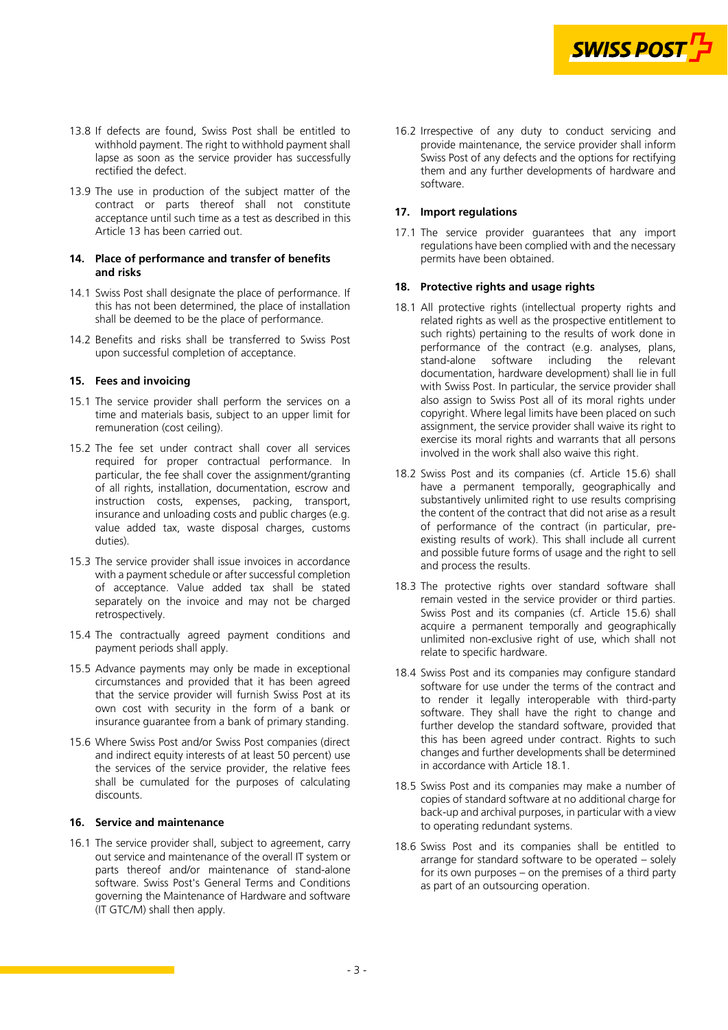

- <span id="page-2-0"></span>13.8 If defects are found, Swiss Post shall be entitled to withhold payment. The right to withhold payment shall lapse as soon as the service provider has successfully rectified the defect.
- 13.9 The use in production of the subject matter of the contract or parts thereof shall not constitute acceptance until such time as a test as described in this Article [13](#page-1-0) has been carried out.

#### **14. Place of performance and transfer of benefits and risks**

- 14.1 Swiss Post shall designate the place of performance. If this has not been determined, the place of installation shall be deemed to be the place of performance.
- 14.2 Benefits and risks shall be transferred to Swiss Post upon successful completion of acceptance.

## **15. Fees and invoicing**

- 15.1 The service provider shall perform the services on a time and materials basis, subject to an upper limit for remuneration (cost ceiling).
- 15.2 The fee set under contract shall cover all services required for proper contractual performance. In particular, the fee shall cover the assignment/granting of all rights, installation, documentation, escrow and instruction costs, expenses, packing, transport, insurance and unloading costs and public charges (e.g. value added tax, waste disposal charges, customs duties).
- 15.3 The service provider shall issue invoices in accordance with a payment schedule or after successful completion of acceptance. Value added tax shall be stated separately on the invoice and may not be charged retrospectively.
- 15.4 The contractually agreed payment conditions and payment periods shall apply.
- 15.5 Advance payments may only be made in exceptional circumstances and provided that it has been agreed that the service provider will furnish Swiss Post at its own cost with security in the form of a bank or insurance guarantee from a bank of primary standing.
- 15.6 Where Swiss Post and/or Swiss Post companies (direct and indirect equity interests of at least 50 percent) use the services of the service provider, the relative fees shall be cumulated for the purposes of calculating discounts.

## **16. Service and maintenance**

16.1 The service provider shall, subject to agreement, carry out service and maintenance of the overall IT system or parts thereof and/or maintenance of stand-alone software. Swiss Post's General Terms and Conditions governing the Maintenance of Hardware and software (IT GTC/M) shall then apply.

16.2 Irrespective of any duty to conduct servicing and provide maintenance, the service provider shall inform Swiss Post of any defects and the options for rectifying them and any further developments of hardware and software.

## **17. Import regulations**

17.1 The service provider guarantees that any import regulations have been complied with and the necessary permits have been obtained.

# **18. Protective rights and usage rights**

- 18.1 All protective rights (intellectual property rights and related rights as well as the prospective entitlement to such rights) pertaining to the results of work done in performance of the contract (e.g. analyses, plans, stand-alone software including the relevant the relevant documentation, hardware development) shall lie in full with Swiss Post. In particular, the service provider shall also assign to Swiss Post all of its moral rights under copyright. Where legal limits have been placed on such assignment, the service provider shall waive its right to exercise its moral rights and warrants that all persons involved in the work shall also waive this right.
- 18.2 Swiss Post and its companies (cf. Article 15.6) shall have a permanent temporally, geographically and substantively unlimited right to use results comprising the content of the contract that did not arise as a result of performance of the contract (in particular, preexisting results of work). This shall include all current and possible future forms of usage and the right to sell and process the results.
- 18.3 The protective rights over standard software shall remain vested in the service provider or third parties. Swiss Post and its companies (cf. Article 15.6) shall acquire a permanent temporally and geographically unlimited non-exclusive right of use, which shall not relate to specific hardware.
- 18.4 Swiss Post and its companies may configure standard software for use under the terms of the contract and to render it legally interoperable with third-party software. They shall have the right to change and further develop the standard software, provided that this has been agreed under contract. Rights to such changes and further developments shall be determined in accordance with Article 18.1.
- 18.5 Swiss Post and its companies may make a number of copies of standard software at no additional charge for back-up and archival purposes, in particular with a view to operating redundant systems.
- 18.6 Swiss Post and its companies shall be entitled to arrange for standard software to be operated – solely for its own purposes – on the premises of a third party as part of an outsourcing operation.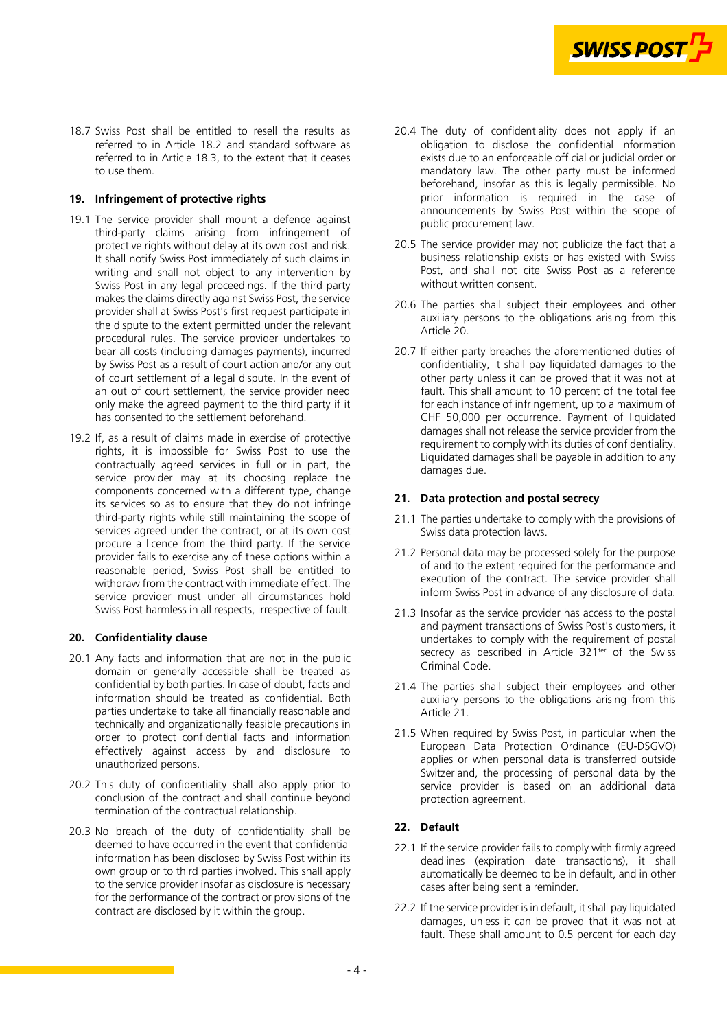

<span id="page-3-0"></span>18.7 Swiss Post shall be entitled to resell the results as referred to in Article [18.2](#page-2-0) and standard software as referred to in Article [18.3](#page-2-0), to the extent that it ceases to use them.

## **19. Infringement of protective rights**

- 19.1 The service provider shall mount a defence against third-party claims arising from infringement of protective rights without delay at its own cost and risk. It shall notify Swiss Post immediately of such claims in writing and shall not object to any intervention by Swiss Post in any legal proceedings. If the third party makes the claims directly against Swiss Post, the service provider shall at Swiss Post's first request participate in the dispute to the extent permitted under the relevant procedural rules. The service provider undertakes to bear all costs (including damages payments), incurred by Swiss Post as a result of court action and/or any out of court settlement of a legal dispute. In the event of an out of court settlement, the service provider need only make the agreed payment to the third party if it has consented to the settlement beforehand.
- 19.2 If, as a result of claims made in exercise of protective rights, it is impossible for Swiss Post to use the contractually agreed services in full or in part, the service provider may at its choosing replace the components concerned with a different type, change its services so as to ensure that they do not infringe third-party rights while still maintaining the scope of services agreed under the contract, or at its own cost procure a licence from the third party. If the service provider fails to exercise any of these options within a reasonable period, Swiss Post shall be entitled to withdraw from the contract with immediate effect. The service provider must under all circumstances hold Swiss Post harmless in all respects, irrespective of fault.

## **20. Confidentiality clause**

- 20.1 Any facts and information that are not in the public domain or generally accessible shall be treated as confidential by both parties. In case of doubt, facts and information should be treated as confidential. Both parties undertake to take all financially reasonable and technically and organizationally feasible precautions in order to protect confidential facts and information effectively against access by and disclosure to unauthorized persons.
- 20.2 This duty of confidentiality shall also apply prior to conclusion of the contract and shall continue beyond termination of the contractual relationship.
- 20.3 No breach of the duty of confidentiality shall be deemed to have occurred in the event that confidential information has been disclosed by Swiss Post within its own group or to third parties involved. This shall apply to the service provider insofar as disclosure is necessary for the performance of the contract or provisions of the contract are disclosed by it within the group.
- 20.4 The duty of confidentiality does not apply if an obligation to disclose the confidential information exists due to an enforceable official or judicial order or mandatory law. The other party must be informed beforehand, insofar as this is legally permissible. No prior information is required in the case of announcements by Swiss Post within the scope of public procurement law.
- 20.5 The service provider may not publicize the fact that a business relationship exists or has existed with Swiss Post, and shall not cite Swiss Post as a reference without written consent.
- 20.6 The parties shall subject their employees and other auxiliary persons to the obligations arising from this Article 20.
- 20.7 If either party breaches the aforementioned duties of confidentiality, it shall pay liquidated damages to the other party unless it can be proved that it was not at fault. This shall amount to 10 percent of the total fee for each instance of infringement, up to a maximum of CHF 50,000 per occurrence. Payment of liquidated damages shall not release the service provider from the requirement to comply with its duties of confidentiality. Liquidated damages shall be payable in addition to any damages due.

## **21. Data protection and postal secrecy**

- 21.1 The parties undertake to comply with the provisions of Swiss data protection laws.
- 21.2 Personal data may be processed solely for the purpose of and to the extent required for the performance and execution of the contract. The service provider shall inform Swiss Post in advance of any disclosure of data.
- 21.3 Insofar as the service provider has access to the postal and payment transactions of Swiss Post's customers, it undertakes to comply with the requirement of postal secrecy as described in Article 321<sup>ter</sup> of the Swiss Criminal Code.
- 21.4 The parties shall subject their employees and other auxiliary persons to the obligations arising from this Article 21.
- 21.5 When required by Swiss Post, in particular when the European Data Protection Ordinance (EU-DSGVO) applies or when personal data is transferred outside Switzerland, the processing of personal data by the service provider is based on an additional data protection agreement.

# **22. Default**

- 22.1 If the service provider fails to comply with firmly agreed deadlines (expiration date transactions), it shall automatically be deemed to be in default, and in other cases after being sent a reminder.
- 22.2 If the service provider is in default, it shall pay liquidated damages, unless it can be proved that it was not at fault. These shall amount to 0.5 percent for each day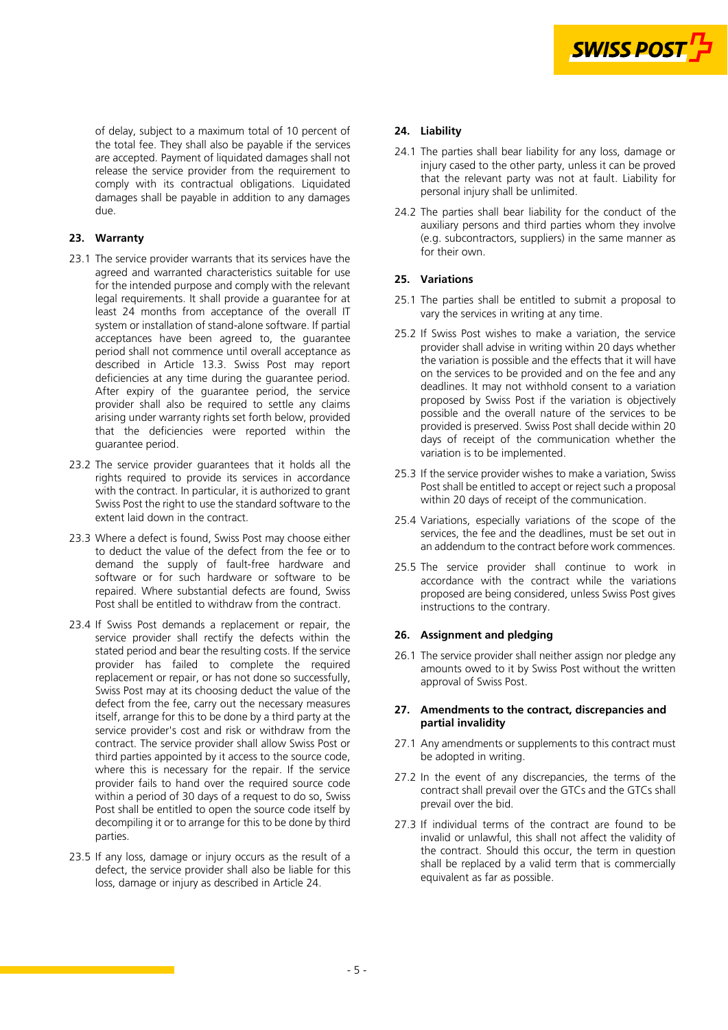

<span id="page-4-0"></span>of delay, subject to a maximum total of 10 percent of the total fee. They shall also be payable if the services are accepted. Payment of liquidated damages shall not release the service provider from the requirement to comply with its contractual obligations. Liquidated damages shall be payable in addition to any damages due.

# **23. Warranty**

- 23.1 The service provider warrants that its services have the agreed and warranted characteristics suitable for use for the intended purpose and comply with the relevant legal requirements. It shall provide a guarantee for at least 24 months from acceptance of the overall IT system or installation of stand-alone software. If partial acceptances have been agreed to, the guarantee period shall not commence until overall acceptance as described in Article [13.3.](#page-1-0) Swiss Post may report deficiencies at any time during the guarantee period. After expiry of the guarantee period, the service provider shall also be required to settle any claims arising under warranty rights set forth below, provided that the deficiencies were reported within the guarantee period.
- 23.2 The service provider guarantees that it holds all the rights required to provide its services in accordance with the contract. In particular, it is authorized to grant Swiss Post the right to use the standard software to the extent laid down in the contract.
- 23.3 Where a defect is found, Swiss Post may choose either to deduct the value of the defect from the fee or to demand the supply of fault-free hardware and software or for such hardware or software to be repaired. Where substantial defects are found, Swiss Post shall be entitled to withdraw from the contract.
- 23.4 If Swiss Post demands a replacement or repair, the service provider shall rectify the defects within the stated period and bear the resulting costs. If the service provider has failed to complete the required replacement or repair, or has not done so successfully, Swiss Post may at its choosing deduct the value of the defect from the fee, carry out the necessary measures itself, arrange for this to be done by a third party at the service provider's cost and risk or withdraw from the contract. The service provider shall allow Swiss Post or third parties appointed by it access to the source code, where this is necessary for the repair. If the service provider fails to hand over the required source code within a period of 30 days of a request to do so, Swiss Post shall be entitled to open the source code itself by decompiling it or to arrange for this to be done by third parties.
- 23.5 If any loss, damage or injury occurs as the result of a defect, the service provider shall also be liable for this loss, damage or injury as described in Article 24.

# **24. Liability**

- 24.1 The parties shall bear liability for any loss, damage or injury cased to the other party, unless it can be proved that the relevant party was not at fault. Liability for personal injury shall be unlimited.
- 24.2 The parties shall bear liability for the conduct of the auxiliary persons and third parties whom they involve (e.g. subcontractors, suppliers) in the same manner as for their own.

## **25. Variations**

- 25.1 The parties shall be entitled to submit a proposal to vary the services in writing at any time.
- 25.2 If Swiss Post wishes to make a variation, the service provider shall advise in writing within 20 days whether the variation is possible and the effects that it will have on the services to be provided and on the fee and any deadlines. It may not withhold consent to a variation proposed by Swiss Post if the variation is objectively possible and the overall nature of the services to be provided is preserved. Swiss Post shall decide within 20 days of receipt of the communication whether the variation is to be implemented.
- 25.3 If the service provider wishes to make a variation, Swiss Post shall be entitled to accept or reject such a proposal within 20 days of receipt of the communication.
- 25.4 Variations, especially variations of the scope of the services, the fee and the deadlines, must be set out in an addendum to the contract before work commences.
- 25.5 The service provider shall continue to work in accordance with the contract while the variations proposed are being considered, unless Swiss Post gives instructions to the contrary.

## **26. Assignment and pledging**

26.1 The service provider shall neither assign nor pledge any amounts owed to it by Swiss Post without the written approval of Swiss Post.

#### **27. Amendments to the contract, discrepancies and partial invalidity**

- 27.1 Any amendments or supplements to this contract must be adopted in writing.
- 27.2 In the event of any discrepancies, the terms of the contract shall prevail over the GTCs and the GTCs shall prevail over the bid.
- 27.3 If individual terms of the contract are found to be invalid or unlawful, this shall not affect the validity of the contract. Should this occur, the term in question shall be replaced by a valid term that is commercially equivalent as far as possible.